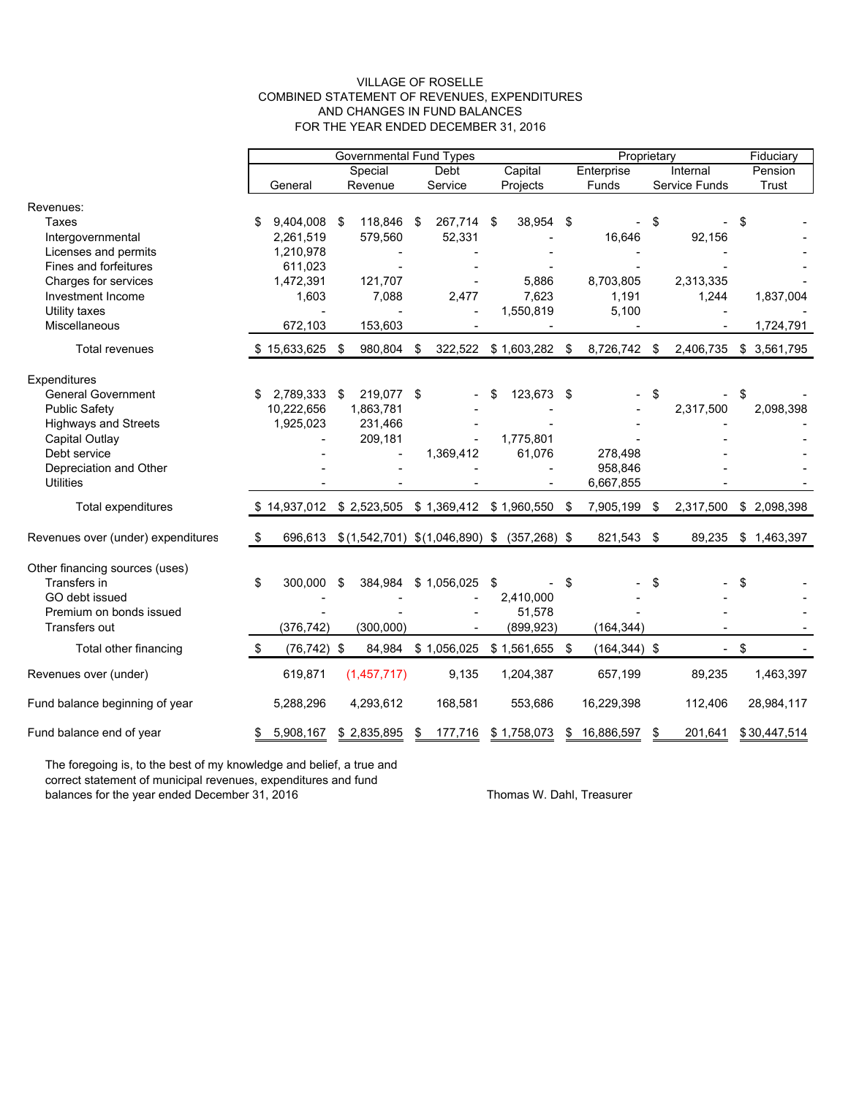#### VILLAGE OF ROSELLE COMBINED STATEMENT OF REVENUES, EXPENDITURES AND CHANGES IN FUND BALANCES FOR THE YEAR ENDED DECEMBER 31, 2016

|                                    |         | <b>Governmental Fund Types</b> |         |             |         |             |          |                                                 |       | Proprietary     |               |           |        | Fiduciary    |  |
|------------------------------------|---------|--------------------------------|---------|-------------|---------|-------------|----------|-------------------------------------------------|-------|-----------------|---------------|-----------|--------|--------------|--|
|                                    |         |                                |         | Special     |         | Debt        |          | Capital                                         |       | Enterprise      |               | Internal  |        | Pension      |  |
|                                    | General |                                | Revenue |             | Service |             | Projects |                                                 | Funds |                 | Service Funds |           | Trust  |              |  |
| Revenues:                          |         |                                |         |             |         |             |          |                                                 |       |                 |               |           |        |              |  |
| Taxes                              |         | 9,404,008                      | \$      | 118,846     | \$      | 267,714 \$  |          | 38,954                                          | \$    |                 | \$            |           | \$     |              |  |
| Intergovernmental                  |         | 2,261,519                      |         | 579,560     |         | 52,331      |          |                                                 |       | 16,646          |               | 92,156    |        |              |  |
| Licenses and permits               |         | 1,210,978                      |         |             |         |             |          |                                                 |       |                 |               |           |        |              |  |
| Fines and forfeitures              |         | 611,023                        |         |             |         |             |          |                                                 |       |                 |               |           |        |              |  |
| Charges for services               |         | 1,472,391                      |         | 121,707     |         |             |          | 5,886                                           |       | 8,703,805       |               | 2,313,335 |        |              |  |
| Investment Income                  |         | 1,603                          |         | 7,088       |         | 2,477       |          | 7,623                                           |       | 1,191           |               | 1,244     |        | 1,837,004    |  |
| Utility taxes                      |         |                                |         |             |         |             |          | 1,550,819                                       |       | 5,100           |               |           |        |              |  |
| Miscellaneous                      |         | 672,103                        |         | 153,603     |         |             |          |                                                 |       |                 |               |           |        | 1,724,791    |  |
|                                    |         |                                |         |             |         |             |          |                                                 |       |                 |               |           |        |              |  |
| Total revenues                     |         | 15,633,625 \$                  |         | 980,804     | \$      | 322,522     |          | $$1,603,282$ \$                                 |       | 8,726,742 \$    |               | 2,406,735 |        | \$3,561,795  |  |
| Expenditures                       |         |                                |         |             |         |             |          |                                                 |       |                 |               |           |        |              |  |
| <b>General Government</b>          |         | 2,789,333 \$                   |         | 219,077 \$  |         |             |          | 123,673 \$                                      |       |                 | \$            |           | \$     |              |  |
| <b>Public Safety</b>               |         | 10,222,656                     |         | 1,863,781   |         |             |          |                                                 |       |                 |               | 2,317,500 |        | 2,098,398    |  |
| <b>Highways and Streets</b>        |         | 1,925,023                      |         | 231,466     |         |             |          |                                                 |       |                 |               |           |        |              |  |
| Capital Outlay                     |         |                                |         | 209,181     |         |             |          | 1,775,801                                       |       |                 |               |           |        |              |  |
| Debt service                       |         |                                |         |             |         | 1,369,412   |          | 61,076                                          |       | 278,498         |               |           |        |              |  |
| Depreciation and Other             |         |                                |         |             |         |             |          |                                                 |       | 958,846         |               |           |        |              |  |
| <b>Utilities</b>                   |         |                                |         |             |         |             |          |                                                 |       | 6,667,855       |               |           |        |              |  |
|                                    |         |                                |         |             |         |             |          |                                                 |       |                 |               |           |        |              |  |
| Total expenditures                 |         | \$14,937,012 \$2,523,505       |         |             |         |             |          | $$1,369,412$ $$1,960,550$ $$$                   |       | 7,905,199       | \$            | 2,317,500 |        | \$2,098,398  |  |
| Revenues over (under) expenditures | -\$     | 696.613                        |         |             |         |             |          | $$(1,542,701)$ $$(1,046,890)$ \$ $(357,268)$ \$ |       | 821,543 \$      |               | 89,235    |        | \$1,463,397  |  |
| Other financing sources (uses)     |         |                                |         |             |         |             |          |                                                 |       |                 |               |           |        |              |  |
| Transfers in                       | \$      | 300,000                        | \$      | 384,984     |         | \$1,056,025 | \$       |                                                 | \$    |                 | \$            |           | \$     |              |  |
| GO debt issued                     |         |                                |         |             |         |             |          | 2,410,000                                       |       |                 |               |           |        |              |  |
| Premium on bonds issued            |         |                                |         |             |         |             |          | 51,578                                          |       |                 |               |           |        |              |  |
| Transfers out                      |         | (376, 742)                     |         | (300,000)   |         |             |          | (899, 923)                                      |       | (164, 344)      |               |           |        |              |  |
| Total other financing              | \$      | $(76, 742)$ \$                 |         | 84,984      |         | \$1,056,025 |          | $$1,561,655$ \$                                 |       | $(164, 344)$ \$ |               |           | $-$ \$ |              |  |
| Revenues over (under)              |         | 619,871                        |         | (1,457,717) |         | 9,135       |          | 1,204,387                                       |       | 657,199         |               | 89,235    |        | 1,463,397    |  |
| Fund balance beginning of year     |         | 5,288,296                      |         | 4,293,612   |         | 168,581     |          | 553,686                                         |       | 16,229,398      |               | 112,406   |        | 28,984,117   |  |
| Fund balance end of year           | \$      | 5,908,167                      |         | \$2,835,895 | \$      | 177,716     |          | \$1,758,073                                     | \$    | 16,886,597      | \$            | 201,641   |        | \$30,447,514 |  |

The foregoing is, to the best of my knowledge and belief, a true and correct statement of municipal revenues, expenditures and fund balances for the year ended December 31, 2016 Thomas W. Dahl, Treasurer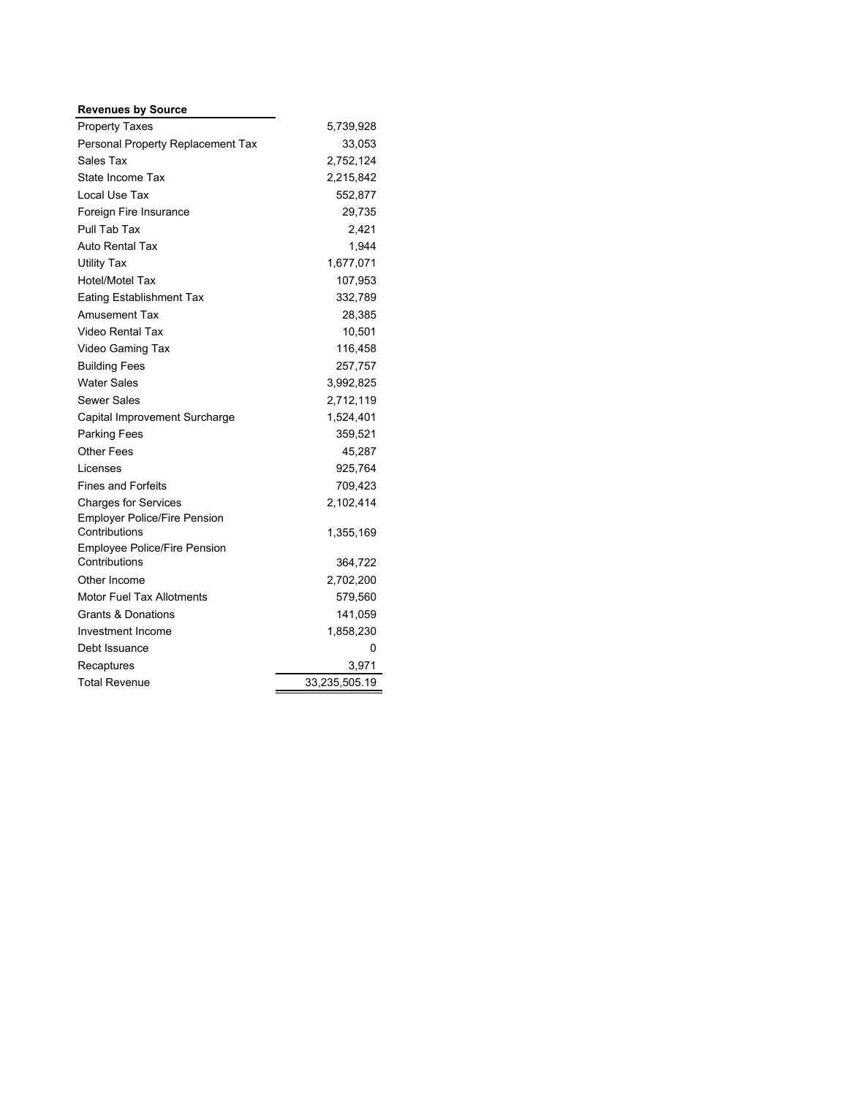#### **Revenues by Source**

| <b>Property Taxes</b>                         | 5,739,928     |  |  |  |  |  |  |
|-----------------------------------------------|---------------|--|--|--|--|--|--|
| Personal Property Replacement Tax             | 33,053        |  |  |  |  |  |  |
| Sales Tax                                     | 2,752,124     |  |  |  |  |  |  |
| State Income Tax                              | 2,215,842     |  |  |  |  |  |  |
| Local Use Tax                                 | 552,877       |  |  |  |  |  |  |
| Foreign Fire Insurance                        | 29,735        |  |  |  |  |  |  |
| Pull Tab Tax                                  | 2,421         |  |  |  |  |  |  |
| <b>Auto Rental Tax</b>                        | 1,944         |  |  |  |  |  |  |
| <b>Utility Tax</b>                            | 1,677,071     |  |  |  |  |  |  |
| Hotel/Motel Tax                               | 107,953       |  |  |  |  |  |  |
| <b>Eating Establishment Tax</b>               | 332,789       |  |  |  |  |  |  |
| <b>Amusement Tax</b>                          | 28,385        |  |  |  |  |  |  |
| <b>Video Rental Tax</b>                       | 10,501        |  |  |  |  |  |  |
| Video Gaming Tax                              | 116,458       |  |  |  |  |  |  |
| <b>Building Fees</b>                          | 257,757       |  |  |  |  |  |  |
| <b>Water Sales</b>                            | 3,992,825     |  |  |  |  |  |  |
| Sewer Sales                                   | 2,712,119     |  |  |  |  |  |  |
| Capital Improvement Surcharge                 | 1,524,401     |  |  |  |  |  |  |
| <b>Parking Fees</b>                           | 359,521       |  |  |  |  |  |  |
| <b>Other Fees</b>                             | 45,287        |  |  |  |  |  |  |
| Licenses                                      | 925,764       |  |  |  |  |  |  |
| <b>Fines and Forfeits</b>                     | 709,423       |  |  |  |  |  |  |
| <b>Charges for Services</b>                   | 2,102,414     |  |  |  |  |  |  |
| <b>Employer Police/Fire Pension</b>           |               |  |  |  |  |  |  |
| Contributions                                 | 1,355,169     |  |  |  |  |  |  |
| Employee Police/Fire Pension<br>Contributions | 364,722       |  |  |  |  |  |  |
| Other Income                                  | 2,702,200     |  |  |  |  |  |  |
| <b>Motor Fuel Tax Allotments</b>              | 579,560       |  |  |  |  |  |  |
| <b>Grants &amp; Donations</b>                 |               |  |  |  |  |  |  |
|                                               | 141,059       |  |  |  |  |  |  |
| Investment Income                             | 1,858,230     |  |  |  |  |  |  |
| Debt Issuance                                 | 0             |  |  |  |  |  |  |
| Recaptures                                    | 3,971         |  |  |  |  |  |  |
| <b>Total Revenue</b>                          | 33,235,505.19 |  |  |  |  |  |  |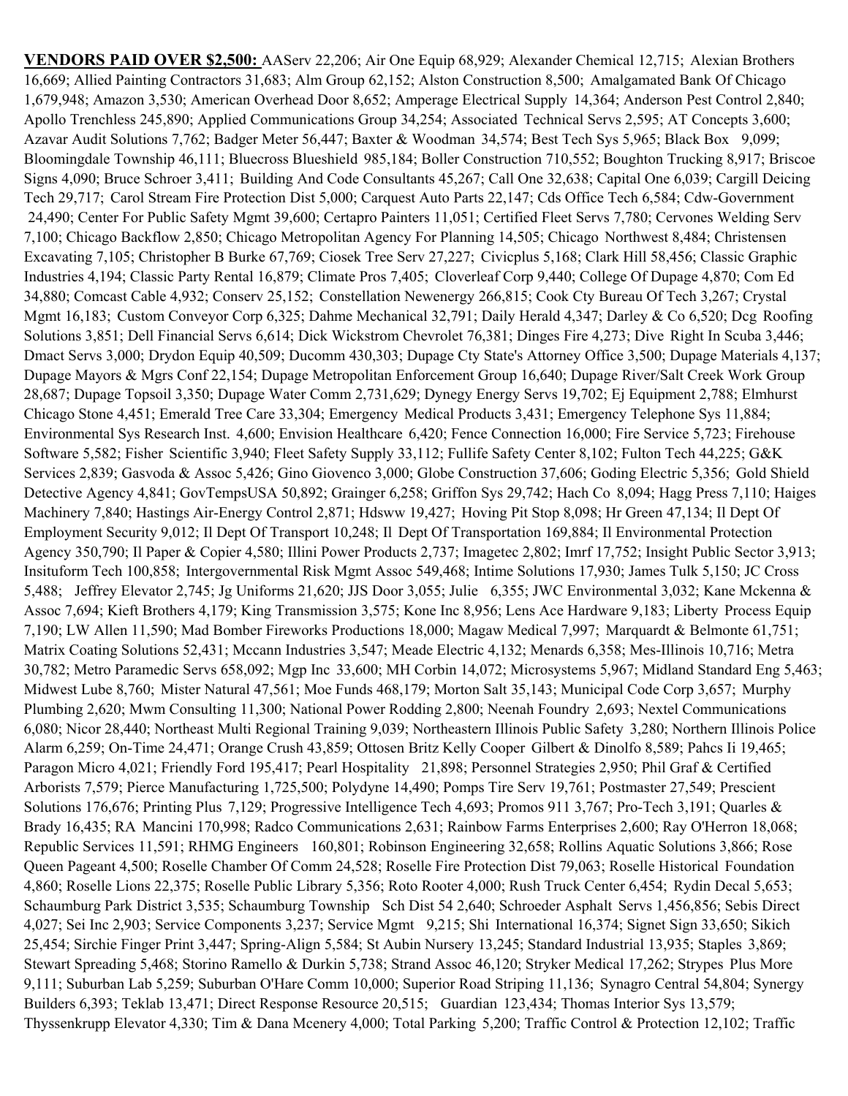**VENDORS PAID OVER \$2,500:** AAServ 22,206; Air One Equip 68,929; Alexander Chemical 12,715; Alexian Brothers 16,669; Allied Painting Contractors 31,683; Alm Group 62,152; Alston Construction 8,500; Amalgamated Bank Of Chicago 1,679,948; Amazon 3,530; American Overhead Door 8,652; Amperage Electrical Supply 14,364; Anderson Pest Control 2,840; Apollo Trenchless 245,890; Applied Communications Group 34,254; Associated Technical Servs 2,595; AT Concepts 3,600; Azavar Audit Solutions 7,762; Badger Meter 56,447; Baxter & Woodman 34,574; Best Tech Sys 5,965; Black Box 9,099; Bloomingdale Township 46,111; Bluecross Blueshield 985,184; Boller Construction 710,552; Boughton Trucking 8,917; Briscoe Signs 4,090; Bruce Schroer 3,411; Building And Code Consultants 45,267; Call One 32,638; Capital One 6,039; Cargill Deicing Tech 29,717; Carol Stream Fire Protection Dist 5,000; Carquest Auto Parts 22,147; Cds Office Tech 6,584; Cdw-Government 24,490; Center For Public Safety Mgmt 39,600; Certapro Painters 11,051; Certified Fleet Servs 7,780; Cervones Welding Serv 7,100; Chicago Backflow 2,850; Chicago Metropolitan Agency For Planning 14,505; Chicago Northwest 8,484; Christensen Excavating 7,105; Christopher B Burke 67,769; Ciosek Tree Serv 27,227; Civicplus 5,168; Clark Hill 58,456; Classic Graphic Industries 4,194; Classic Party Rental 16,879; Climate Pros 7,405; Cloverleaf Corp 9,440; College Of Dupage 4,870; Com Ed 34,880; Comcast Cable 4,932; Conserv 25,152; Constellation Newenergy 266,815; Cook Cty Bureau Of Tech 3,267; Crystal Mgmt 16,183; Custom Conveyor Corp 6,325; Dahme Mechanical 32,791; Daily Herald 4,347; Darley & Co 6,520; Dcg Roofing Solutions 3,851; Dell Financial Servs 6,614; Dick Wickstrom Chevrolet 76,381; Dinges Fire 4,273; Dive Right In Scuba 3,446; Dmact Servs 3,000; Drydon Equip 40,509; Ducomm 430,303; Dupage Cty State's Attorney Office 3,500; Dupage Materials 4,137; Dupage Mayors & Mgrs Conf 22,154; Dupage Metropolitan Enforcement Group 16,640; Dupage River/Salt Creek Work Group 28,687; Dupage Topsoil 3,350; Dupage Water Comm 2,731,629; Dynegy Energy Servs 19,702; Ej Equipment 2,788; Elmhurst Chicago Stone 4,451; Emerald Tree Care 33,304; Emergency Medical Products 3,431; Emergency Telephone Sys 11,884; Environmental Sys Research Inst. 4,600; Envision Healthcare 6,420; Fence Connection 16,000; Fire Service 5,723; Firehouse Software 5,582; Fisher Scientific 3,940; Fleet Safety Supply 33,112; Fullife Safety Center 8,102; Fulton Tech 44,225; G&K Services 2,839; Gasvoda & Assoc 5,426; Gino Giovenco 3,000; Globe Construction 37,606; Goding Electric 5,356; Gold Shield Detective Agency 4,841; GovTempsUSA 50,892; Grainger 6,258; Griffon Sys 29,742; Hach Co 8,094; Hagg Press 7,110; Haiges Machinery 7,840; Hastings Air-Energy Control 2,871; Hdsww 19,427; Hoving Pit Stop 8,098; Hr Green 47,134; Il Dept Of Employment Security 9,012; Il Dept Of Transport 10,248; Il Dept Of Transportation 169,884; Il Environmental Protection Agency 350,790; Il Paper & Copier 4,580; Illini Power Products 2,737; Imagetec 2,802; Imrf 17,752; Insight Public Sector 3,913; Insituform Tech 100,858; Intergovernmental Risk Mgmt Assoc 549,468; Intime Solutions 17,930; James Tulk 5,150; JC Cross 5,488; Jeffrey Elevator 2,745; Jg Uniforms 21,620; JJS Door 3,055; Julie 6,355; JWC Environmental 3,032; Kane Mckenna & Assoc 7,694; Kieft Brothers 4,179; King Transmission 3,575; Kone Inc 8,956; Lens Ace Hardware 9,183; Liberty Process Equip 7,190; LW Allen 11,590; Mad Bomber Fireworks Productions 18,000; Magaw Medical 7,997; Marquardt & Belmonte 61,751; Matrix Coating Solutions 52,431; Mccann Industries 3,547; Meade Electric 4,132; Menards 6,358; Mes-Illinois 10,716; Metra 30,782; Metro Paramedic Servs 658,092; Mgp Inc 33,600; MH Corbin 14,072; Microsystems 5,967; Midland Standard Eng 5,463; Midwest Lube 8,760; Mister Natural 47,561; Moe Funds 468,179; Morton Salt 35,143; Municipal Code Corp 3,657; Murphy Plumbing 2,620; Mwm Consulting 11,300; National Power Rodding 2,800; Neenah Foundry 2,693; Nextel Communications 6,080; Nicor 28,440; Northeast Multi Regional Training 9,039; Northeastern Illinois Public Safety 3,280; Northern Illinois Police Alarm 6,259; On-Time 24,471; Orange Crush 43,859; Ottosen Britz Kelly Cooper Gilbert & Dinolfo 8,589; Pahcs Ii 19,465; Paragon Micro 4,021; Friendly Ford 195,417; Pearl Hospitality 21,898; Personnel Strategies 2,950; Phil Graf & Certified Arborists 7,579; Pierce Manufacturing 1,725,500; Polydyne 14,490; Pomps Tire Serv 19,761; Postmaster 27,549; Prescient Solutions 176,676; Printing Plus 7,129; Progressive Intelligence Tech 4,693; Promos 911 3,767; Pro-Tech 3,191; Quarles & Brady 16,435; RA Mancini 170,998; Radco Communications 2,631; Rainbow Farms Enterprises 2,600; Ray O'Herron 18,068; Republic Services 11,591; RHMG Engineers 160,801; Robinson Engineering 32,658; Rollins Aquatic Solutions 3,866; Rose Queen Pageant 4,500; Roselle Chamber Of Comm 24,528; Roselle Fire Protection Dist 79,063; Roselle Historical Foundation 4,860; Roselle Lions 22,375; Roselle Public Library 5,356; Roto Rooter 4,000; Rush Truck Center 6,454; Rydin Decal 5,653; Schaumburg Park District 3,535; Schaumburg Township Sch Dist 54 2,640; Schroeder Asphalt Servs 1,456,856; Sebis Direct 4,027; Sei Inc 2,903; Service Components 3,237; Service Mgmt 9,215; Shi International 16,374; Signet Sign 33,650; Sikich 25,454; Sirchie Finger Print 3,447; Spring-Align 5,584; St Aubin Nursery 13,245; Standard Industrial 13,935; Staples 3,869; Stewart Spreading 5,468; Storino Ramello & Durkin 5,738; Strand Assoc 46,120; Stryker Medical 17,262; Strypes Plus More 9,111; Suburban Lab 5,259; Suburban O'Hare Comm 10,000; Superior Road Striping 11,136; Synagro Central 54,804; Synergy Builders 6,393; Teklab 13,471; Direct Response Resource 20,515; Guardian 123,434; Thomas Interior Sys 13,579; Thyssenkrupp Elevator 4,330; Tim & Dana Mcenery 4,000; Total Parking 5,200; Traffic Control & Protection 12,102; Traffic